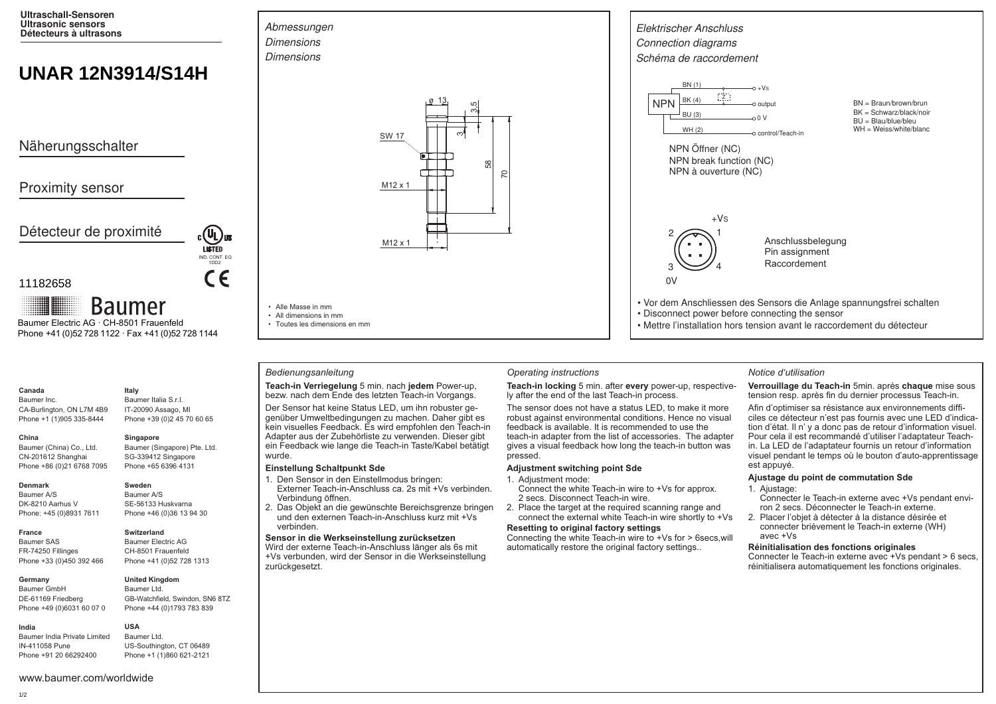**Ultraschall-Sensoren Ultrasonic sensors Détecteurs à ultrasons**

# **UNAR 12N3914/S14H**

Näherungsschalter

# Proximity sensor

Détecteur de proximité

### 11182658

**Baumer** Baumer Electric AG · CH-8501 Frauenfeld Phone +41 (0)52 728 1122 · Fax +41 (0)52 728 1144

### **Canada**

Baumer Inc. CA-Burlington, ON L7M 4B9 Phone +1 (1)905 335-8444

Baumer (Singapore) Pte. Ltd. SG-339412 Singapore Phone +65 6396 4131

#### **Denmark**

**China** 

Baumer A/S DK-8210 Aarhus V Phone: +45 (0)8931 7611

Baumer (China) Co., Ltd. CN-201612 Shanghai Phone +86 (0)21 6768 7095

**France** Baumer SAS FR-74250 Fillinges Phone +33 (0)450 392 466

#### **Germany**  Baumer GmbH

DE-61169 Friedberg Phone +49 (0)6031 60 07 0 **United Kingdom** Baumer Ltd.

**USA**

Baumer India Private Limited IN-411058 Pune Phone +91 20 66292400

#### **Italy** Baumer Italia S.r.l. IT-20090 Assago, MI Phone +39 (0)2 45 70 60 65

# **Singapore**

IND. CONT. EQ 1DD2

 $\epsilon$ 

**LISTED** 

**Sweden** Baumer A/S SE-56133 Huskvarna Phone +46 (0)36 13 94 30

## **Switzerland**

Baumer Electric AG CH-8501 Frauenfeld Phone +41 (0)52 728 1313

GB-Watchfield, Swindon, SN6 8TZ Phone +44 (0)1793 783 839

Baumer Ltd. US-Southington, CT 06489 Phone +1 (1)860 621-2121



• All dimensions in mm

• Toutes les dimensions en mm

### *Bedienungsanleitung Operating instructions Notice d'utilisation*

#### **Teach-in Verriegelung** 5 min. nach **jedem** Power-up, bezw. nach dem Ende des letzten Teach-in Vorgangs.

Der Sensor hat keine Status LED, um ihn robuster gegenüber Umweltbedingungen zu machen. Daher gibt es kein visuelles Feedback. Es wird empfohlen den Teach-in Adapter aus der Zubehörliste zu verwenden. Dieser gibt ein Feedback wie lange die Teach-in Taste/Kabel betätigt wurde.

#### **Einstellung Schaltpunkt Sde**

- 1. Den Sensor in den Einstellmodus bringen:
- Externer Teach-in-Anschluss ca. 2s mit +Vs verbinden. Verbindung öffnen.
- 2. Das Objekt an die gewünschte Bereichsgrenze bringen und den externen Teach-in-Anschluss kurz mit +Vs verbinden.

#### **Sensor in die Werkseinstellung zurücksetzen**

Wird der externe Teach-in-Anschluss länger als 6s mit +Vs verbunden, wird der Sensor in die Werkseinstellung zurückgesetzt.



**Teach-in locking** 5 min. after **every** power-up, respectively after the end of the last Teach-in process.

Elektrischer Anschluss Connection diagrams Schéma de raccordement

> NPN Öffner (NC) NPN break function (NC) NPN à ouverture (NC)

Z

1

 $+Vs$ 

4

WH (2)  $\overline{B}$ BU (3)

BN (1)  $RK/4$ 

NPN

2

3

 $0V$ 

 $0<sup>0</sup>$ 

control/Teach-in

 $\sim +V$ s output

The sensor does not have a status LED, to make it more robust against environmental conditions. Hence no visual feedback is available. It is recommended to use the teach-in adapter from the list of accessories. The adapter gives a visual feedback how long the teach-in button was pressed.

#### **Adjustment switching point Sde**

#### 1. Adjustment mode:

- Connect the white Teach-in wire to +Vs for approx. 2 secs. Disconnect Teach-in wire.
- 2. Place the target at the required scanning range and connect the external white Teach-in wire shortly to +Vs

### **Resetting to original factory settings**

Connecting the white Teach-in wire to +Vs for > 6secs,will automatically restore the original factory settings..

• Vor dem Anschliessen des Sensors die Anlage spannungsfrei schalten

Anschlussbelegung Pin assignment Raccordement

• Mettre l'installation hors tension avant le raccordement du détecteur

• Disconnect power before connecting the sensor

**Verrouillage du Teach-in** 5min. après **chaque** mise sous tension resp. après fin du dernier processus Teach-in.

BN = Braun/brown/brun BK = Schwarz/black/noir BU = Blau/blue/bleu WH = Weiss/white/blanc

Afin d'optimiser sa résistance aux environnements difficiles ce détecteur n'est pas fournis avec une LED d'indication d'état. Il n' y a donc pas de retour d'information visuel. Pour cela il est recommandé d'utiliser l'adaptateur Teachin. La LED de l'adaptateur fournis un retour d'information visuel pendant le temps où le bouton d'auto-apprentissage est appuyé.

### **Ajustage du point de commutation Sde**

- 1. Ajustage:
- Connecter le Teach-in externe avec +Vs pendant environ 2 secs. Déconnecter le Teach-in externe.
- 2. Placer l'objet à détecter à la distance désirée et connecter brièvement le Teach-in externe (WH) avec +Vs

### **Réinitialisation des fonctions originales**

Connecter le Teach-in externe avec +Vs pendant > 6 secs, réinitialisera automatiquement les fonctions originales.

### www.baumer.com/worldwide

**India**